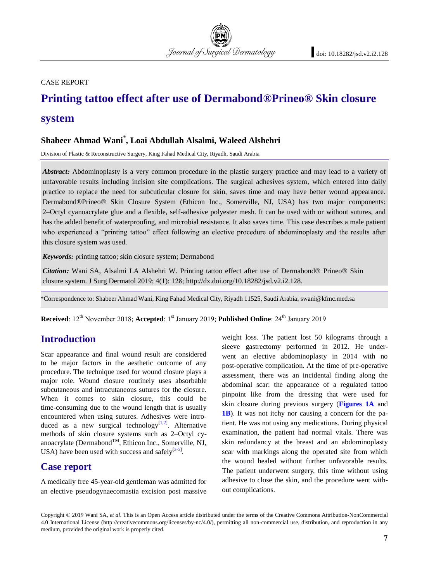CASE REPORT

# **Printing tattoo effect after use of Dermabond®Prineo® Skin closure system**

Journal of Surgical Dermatology

# **Shabeer Ahmad Wani**\* **, Loai Abdullah Alsalmi, Waleed Alshehri**

Division of Plastic & Reconstructive Surgery, King Fahad Medical City, Riyadh, Saudi Arabia

*Abstract:* Abdominoplasty is a very common procedure in the plastic surgery practice and may lead to a variety of unfavorable results including incision site complications. The surgical adhesives system, which entered into daily practice to replace the need for subcuticular closure for skin, saves time and may have better wound appearance. Dermabond®Prineo® Skin Closure System (Ethicon Inc., Somerville, NJ, USA) has two major components: 2–Octyl cyanoacrylate glue and a flexible, self-adhesive polyester mesh. It can be used with or without sutures, and has the added benefit of waterproofing, and microbial resistance. It also saves time. This case describes a male patient who experienced a "printing tattoo" effect following an elective procedure of abdominoplasty and the results after this closure system was used.

*Keywords:* printing tattoo; skin closure system; Dermabond

*Citation:* Wani SA, Alsalmi LA Alshehri W. Printing tattoo effect after use of Dermabond® Prineo® Skin closure system. J Surg Dermatol 2019; 4(1): 128; http://dx.doi.org/10.18282/jsd.v2.i2.128.

\*Correspondence to: Shabeer Ahmad Wani, King Fahad Medical City, Riyadh 11525, Saudi Arabia; swani@kfmc.med.sa

**Received**: 12<sup>th</sup> November 2018; **Accepted**: 1<sup>st</sup> January 2019; **Published Online**: 24<sup>th</sup> January 2019

### **Introduction**

Scar appearance and final wound result are considered to be major factors in the aesthetic outcome of any procedure. The technique used for wound closure plays a major role. Wound closure routinely uses absorbable subcutaneous and intracutaneous sutures for the closure. When it comes to skin closure, this could be time-consuming due to the wound length that is usually encountered when using sutures. Adhesives were intro-duced as a new surgical technology<sup>[\[1,](#page-1-0)[2\]](#page-1-1)</sup>. Alternative methods of skin closure systems such as 2–Octyl cyanoacrylate (Dermabond<sup>TM</sup>, Ethicon Inc., Somerville, NJ, USA) have been used with success and safely $^{[3-5]}$  $^{[3-5]}$  $^{[3-5]}$  $^{[3-5]}$ .

#### **Case report**

A medically free 45-year-old gentleman was admitted for an elective pseudogynaecomastia excision post massive weight loss. The patient lost 50 kilograms through a sleeve gastrectomy performed in 2012. He underwent an elective abdominoplasty in 2014 with no post-operative complication. At the time of pre-operative assessment, there was an incidental finding along the abdominal scar: the appearance of a regulated tattoo pinpoint like from the dressing that were used for skin closure during previous surgery (**[Figures 1A](#page-1-4)** and **[1B](#page-1-4)**). It was not itchy nor causing a concern for the patient. He was not using any medications. During physical examination, the patient had normal vitals. There was skin redundancy at the breast and an abdominoplasty scar with markings along the operated site from which the wound healed without further unfavorable results. The patient underwent surgery, this time without using adhesive to close the skin, and the procedure went without complications.

Copyright © 2019 Wani SA, *et al*. This is an Open Access article distributed under the terms of the Creative Commons Attribution-NonCommercial 4.0 International License (http://creativecommons.org/licenses/by-nc/4.0/), permitting all non-commercial use, distribution, and reproduction in any medium, provided the original work is properly cited.